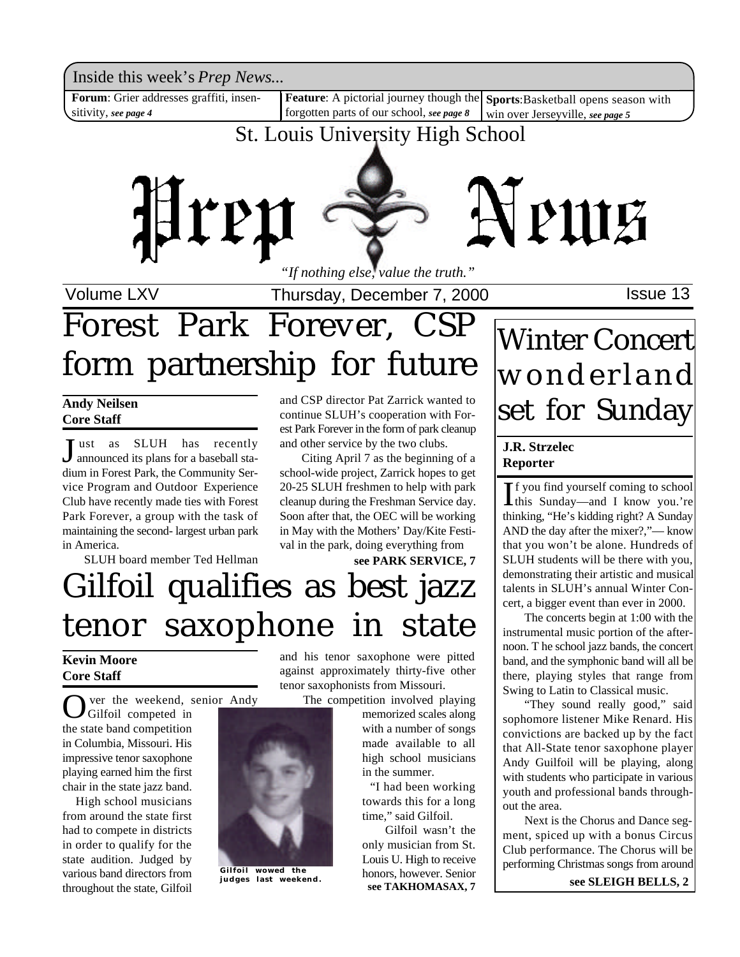Inside this week's *Prep News*...

**Forum**: Grier addresses graffiti, insensitivity, *see page 4*

Feature: A pictorial journey though the Sports: Basketball opens season with forgotten parts of our school, *see page 8* win over Jerseyville, *see page 5*

## St. Louis University High School



Volume LXV **Interpretery**, December 7, 2000 **ISSUE 13** 

# Forest Park Forever, CSP form partnership for future

#### **Andy Neilsen Core Staff**

**J** ust as SLUH has recently<br>announced its plans for a baseball staannounced its plans for a baseball stadium in Forest Park, the Community Service Program and Outdoor Experience Club have recently made ties with Forest Park Forever, a group with the task of maintaining the second- largest urban park in America.

SLUH board member Ted Hellman

and CSP director Pat Zarrick wanted to continue SLUH's cooperation with Forest Park Forever in the form of park cleanup and other service by the two clubs.

Citing April 7 as the beginning of a school-wide project, Zarrick hopes to get 20-25 SLUH freshmen to help with park cleanup during the Freshman Service day. Soon after that, the OEC will be working in May with the Mothers' Day/Kite Festival in the park, doing everything from

**see PARK SERVICE, 7**

# Gilfoil qualifies as best jazz tenor saxophone in state

### **Kevin Moore Core Staff**

O ver the weekend, senior Andy Gilfoil competed in the state band competition in Columbia, Missouri. His impressive tenor saxophone playing earned him the first chair in the state jazz band.

 High school musicians from around the state first had to compete in districts in order to qualify for the state audition. Judged by various band directors from throughout the state, Gilfoil



**Gilfoil wowed the judges last weekend.**

and his tenor saxophone were pitted against approximately thirty-five other tenor saxophonists from Missouri.

The competition involved playing memorized scales along with a number of songs made available to all high school musicians in the summer.

 "I had been working towards this for a long time," said Gilfoil.

Gilfoil wasn't the only musician from St. Louis U. High to receive honors, however. Senior **see TAKHOMASAX, 7**

## Winter Concert wonderland set for Sunday

### **J.R. Strzelec Reporter**

If you find yourself coming to school<br>this Sunday—and I know you.'re f you find yourself coming to school thinking, "He's kidding right? A Sunday AND the day after the mixer?,"— know that you won't be alone. Hundreds of SLUH students will be there with you, demonstrating their artistic and musical talents in SLUH's annual Winter Concert, a bigger event than ever in 2000.

The concerts begin at 1:00 with the instrumental music portion of the afternoon. T he school jazz bands, the concert band, and the symphonic band will all be there, playing styles that range from Swing to Latin to Classical music.

"They sound really good," said sophomore listener Mike Renard. His convictions are backed up by the fact that All-State tenor saxophone player Andy Guilfoil will be playing, along with students who participate in various youth and professional bands throughout the area.

Next is the Chorus and Dance segment, spiced up with a bonus Circus Club performance. The Chorus will be performing Christmas songs from around

**see SLEIGH BELLS, 2**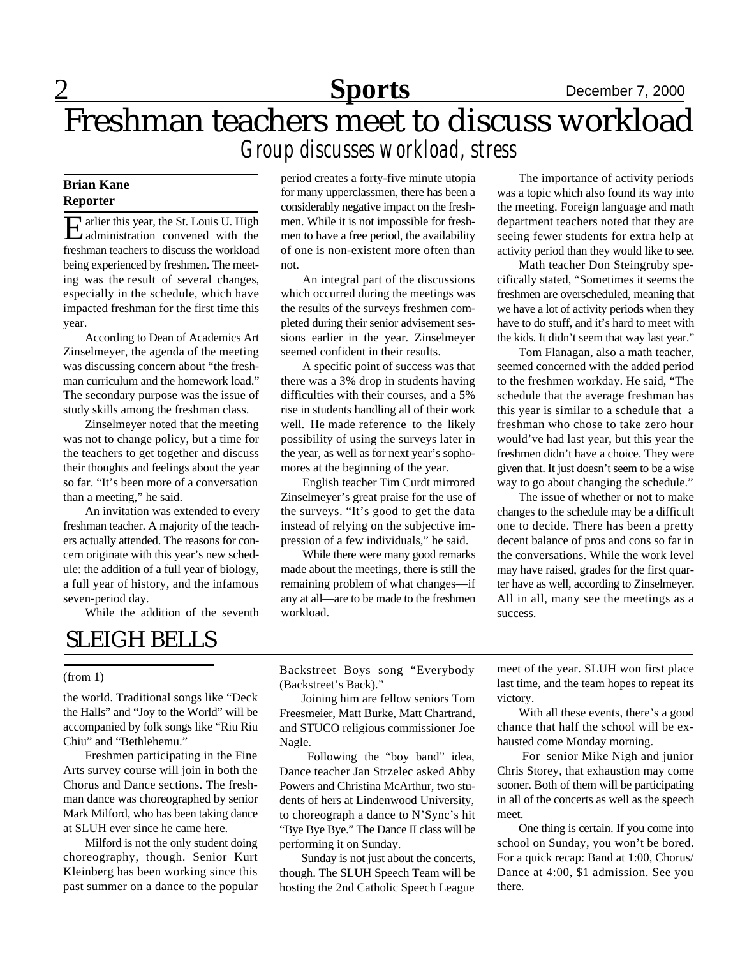## Freshman teachers meet to discuss workload *Group discusses workload, stress*

#### **Brian Kane Reporter**

Example 1 at this year, the St. Louis U. High<br>administration convened with the administration convened with the freshman teachers to discuss the workload being experienced by freshmen. The meeting was the result of several changes, especially in the schedule, which have impacted freshman for the first time this year.

According to Dean of Academics Art Zinselmeyer, the agenda of the meeting was discussing concern about "the freshman curriculum and the homework load." The secondary purpose was the issue of study skills among the freshman class.

Zinselmeyer noted that the meeting was not to change policy, but a time for the teachers to get together and discuss their thoughts and feelings about the year so far. "It's been more of a conversation than a meeting," he said.

An invitation was extended to every freshman teacher. A majority of the teachers actually attended. The reasons for concern originate with this year's new schedule: the addition of a full year of biology, a full year of history, and the infamous seven-period day.

While the addition of the seventh

period creates a forty-five minute utopia for many upperclassmen, there has been a considerably negative impact on the freshmen. While it is not impossible for freshmen to have a free period, the availability of one is non-existent more often than not.

An integral part of the discussions which occurred during the meetings was the results of the surveys freshmen completed during their senior advisement sessions earlier in the year. Zinselmeyer seemed confident in their results.

A specific point of success was that there was a 3% drop in students having difficulties with their courses, and a 5% rise in students handling all of their work well. He made reference to the likely possibility of using the surveys later in the year, as well as for next year's sophomores at the beginning of the year.

English teacher Tim Curdt mirrored Zinselmeyer's great praise for the use of the surveys. "It's good to get the data instead of relying on the subjective impression of a few individuals," he said.

While there were many good remarks made about the meetings, there is still the remaining problem of what changes—if any at all—are to be made to the freshmen workload.

The importance of activity periods was a topic which also found its way into the meeting. Foreign language and math department teachers noted that they are seeing fewer students for extra help at activity period than they would like to see.

Math teacher Don Steingruby specifically stated, "Sometimes it seems the freshmen are overscheduled, meaning that we have a lot of activity periods when they have to do stuff, and it's hard to meet with the kids. It didn't seem that way last year."

Tom Flanagan, also a math teacher, seemed concerned with the added period to the freshmen workday. He said, "The schedule that the average freshman has this year is similar to a schedule that a freshman who chose to take zero hour would've had last year, but this year the freshmen didn't have a choice. They were given that. It just doesn't seem to be a wise way to go about changing the schedule."

The issue of whether or not to make changes to the schedule may be a difficult one to decide. There has been a pretty decent balance of pros and cons so far in the conversations. While the work level may have raised, grades for the first quarter have as well, according to Zinselmeyer. All in all, many see the meetings as a success.

## SLEIGH BELLS

#### (from 1)

the world. Traditional songs like "Deck the Halls" and "Joy to the World" will be accompanied by folk songs like "Riu Riu Chiu" and "Bethlehemu."

Freshmen participating in the Fine Arts survey course will join in both the Chorus and Dance sections. The freshman dance was choreographed by senior Mark Milford, who has been taking dance at SLUH ever since he came here.

Milford is not the only student doing choreography, though. Senior Kurt Kleinberg has been working since this past summer on a dance to the popular Backstreet Boys song "Everybody (Backstreet's Back)."

Joining him are fellow seniors Tom Freesmeier, Matt Burke, Matt Chartrand, and STUCO religious commissioner Joe Nagle.

Following the "boy band" idea, Dance teacher Jan Strzelec asked Abby Powers and Christina McArthur, two students of hers at Lindenwood University, to choreograph a dance to N'Sync's hit "Bye Bye Bye." The Dance II class will be performing it on Sunday.

Sunday is not just about the concerts, though. The SLUH Speech Team will be hosting the 2nd Catholic Speech League

meet of the year. SLUH won first place last time, and the team hopes to repeat its victory.

With all these events, there's a good chance that half the school will be exhausted come Monday morning.

 For senior Mike Nigh and junior Chris Storey, that exhaustion may come sooner. Both of them will be participating in all of the concerts as well as the speech meet.

One thing is certain. If you come into school on Sunday, you won't be bored. For a quick recap: Band at 1:00, Chorus/ Dance at 4:00, \$1 admission. See you there.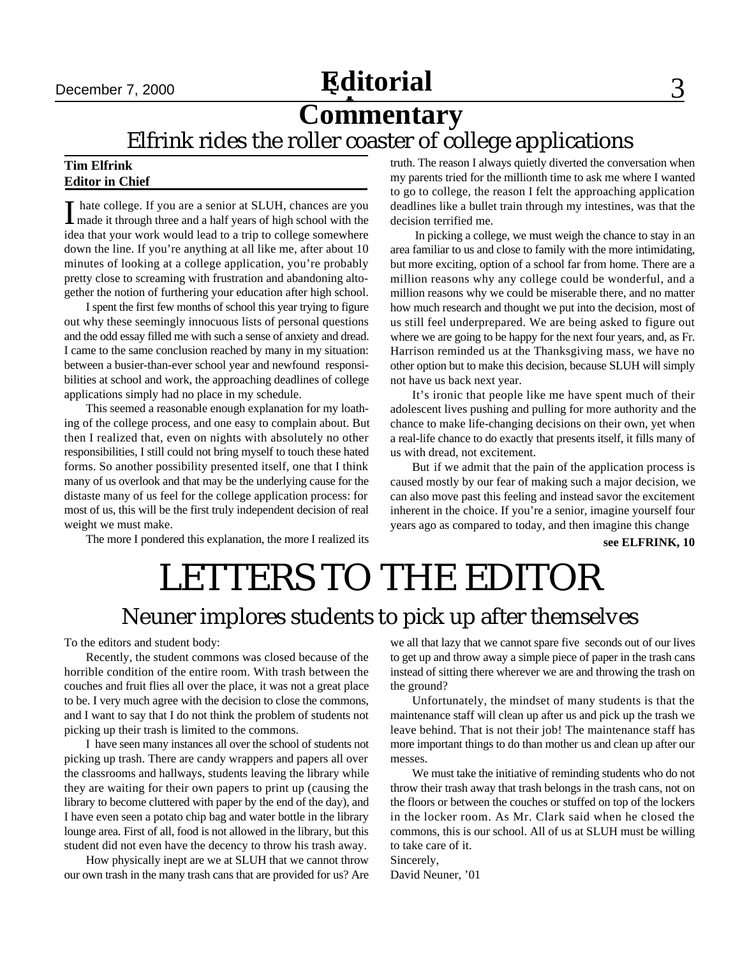## December 7, 2000 **Editorial** 3

## **Commentary**

Elfrink rides the roller coaster of college applications

#### **Tim Elfrink Editor in Chief**

I hate college. If you are a senior at SLUH, chances are you<br>made it through three and a half years of high school with the hate college. If you are a senior at SLUH, chances are you idea that your work would lead to a trip to college somewhere down the line. If you're anything at all like me, after about 10 minutes of looking at a college application, you're probably pretty close to screaming with frustration and abandoning altogether the notion of furthering your education after high school.

I spent the first few months of school this year trying to figure out why these seemingly innocuous lists of personal questions and the odd essay filled me with such a sense of anxiety and dread. I came to the same conclusion reached by many in my situation: between a busier-than-ever school year and newfound responsibilities at school and work, the approaching deadlines of college applications simply had no place in my schedule.

This seemed a reasonable enough explanation for my loathing of the college process, and one easy to complain about. But then I realized that, even on nights with absolutely no other responsibilities, I still could not bring myself to touch these hated forms. So another possibility presented itself, one that I think many of us overlook and that may be the underlying cause for the distaste many of us feel for the college application process: for most of us, this will be the first truly independent decision of real weight we must make.

The more I pondered this explanation, the more I realized its

truth. The reason I always quietly diverted the conversation when my parents tried for the millionth time to ask me where I wanted to go to college, the reason I felt the approaching application deadlines like a bullet train through my intestines, was that the decision terrified me.

 In picking a college, we must weigh the chance to stay in an area familiar to us and close to family with the more intimidating, but more exciting, option of a school far from home. There are a million reasons why any college could be wonderful, and a million reasons why we could be miserable there, and no matter how much research and thought we put into the decision, most of us still feel underprepared. We are being asked to figure out where we are going to be happy for the next four years, and, as Fr. Harrison reminded us at the Thanksgiving mass, we have no other option but to make this decision, because SLUH will simply not have us back next year.

It's ironic that people like me have spent much of their adolescent lives pushing and pulling for more authority and the chance to make life-changing decisions on their own, yet when a real-life chance to do exactly that presents itself, it fills many of us with dread, not excitement.

But if we admit that the pain of the application process is caused mostly by our fear of making such a major decision, we can also move past this feeling and instead savor the excitement inherent in the choice. If you're a senior, imagine yourself four years ago as compared to today, and then imagine this change

**see ELFRINK, 10**

# LETTERS TO THE EDITOR

## Neuner implores students to pick up after themselves

To the editors and student body:

Recently, the student commons was closed because of the horrible condition of the entire room. With trash between the couches and fruit flies all over the place, it was not a great place to be. I very much agree with the decision to close the commons, and I want to say that I do not think the problem of students not picking up their trash is limited to the commons.

I have seen many instances all over the school of students not picking up trash. There are candy wrappers and papers all over the classrooms and hallways, students leaving the library while they are waiting for their own papers to print up (causing the library to become cluttered with paper by the end of the day), and I have even seen a potato chip bag and water bottle in the library lounge area. First of all, food is not allowed in the library, but this student did not even have the decency to throw his trash away.

How physically inept are we at SLUH that we cannot throw our own trash in the many trash cans that are provided for us? Are we all that lazy that we cannot spare five seconds out of our lives to get up and throw away a simple piece of paper in the trash cans instead of sitting there wherever we are and throwing the trash on the ground?

Unfortunately, the mindset of many students is that the maintenance staff will clean up after us and pick up the trash we leave behind. That is not their job! The maintenance staff has more important things to do than mother us and clean up after our messes.

We must take the initiative of reminding students who do not throw their trash away that trash belongs in the trash cans, not on the floors or between the couches or stuffed on top of the lockers in the locker room. As Mr. Clark said when he closed the commons, this is our school. All of us at SLUH must be willing to take care of it.

Sincerely, David Neuner, '01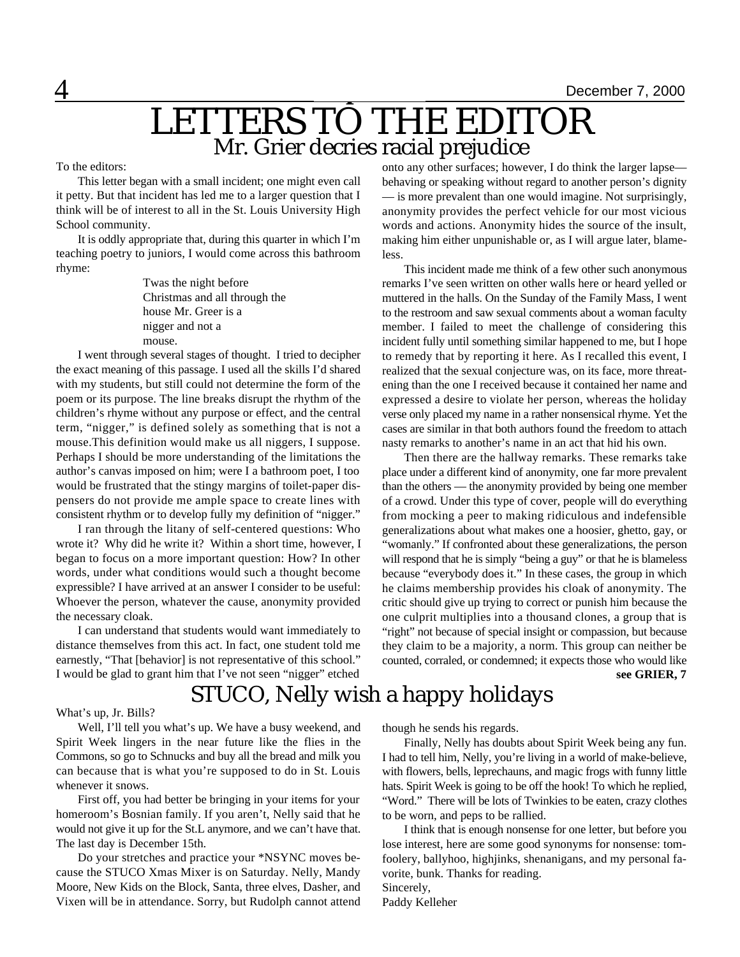## LETTERS TO THE EDITOR Mr. Grier decries racial prejudice **Editorial**

#### To the editors:

This letter began with a small incident; one might even call it petty. But that incident has led me to a larger question that I think will be of interest to all in the St. Louis University High School community.

It is oddly appropriate that, during this quarter in which I'm teaching poetry to juniors, I would come across this bathroom rhyme:

> Twas the night before Christmas and all through the house Mr. Greer is a nigger and not a mouse.

I went through several stages of thought. I tried to decipher the exact meaning of this passage. I used all the skills I'd shared with my students, but still could not determine the form of the poem or its purpose. The line breaks disrupt the rhythm of the children's rhyme without any purpose or effect, and the central term, "nigger," is defined solely as something that is not a mouse.This definition would make us all niggers, I suppose. Perhaps I should be more understanding of the limitations the author's canvas imposed on him; were I a bathroom poet, I too would be frustrated that the stingy margins of toilet-paper dispensers do not provide me ample space to create lines with consistent rhythm or to develop fully my definition of "nigger."

I ran through the litany of self-centered questions: Who wrote it? Why did he write it? Within a short time, however, I began to focus on a more important question: How? In other words, under what conditions would such a thought become expressible? I have arrived at an answer I consider to be useful: Whoever the person, whatever the cause, anonymity provided the necessary cloak.

I can understand that students would want immediately to distance themselves from this act. In fact, one student told me earnestly, "That [behavior] is not representative of this school." I would be glad to grant him that I've not seen "nigger" etched

onto any other surfaces; however, I do think the larger lapse behaving or speaking without regard to another person's dignity — is more prevalent than one would imagine. Not surprisingly, anonymity provides the perfect vehicle for our most vicious words and actions. Anonymity hides the source of the insult, making him either unpunishable or, as I will argue later, blameless.

This incident made me think of a few other such anonymous remarks I've seen written on other walls here or heard yelled or muttered in the halls. On the Sunday of the Family Mass, I went to the restroom and saw sexual comments about a woman faculty member. I failed to meet the challenge of considering this incident fully until something similar happened to me, but I hope to remedy that by reporting it here. As I recalled this event, I realized that the sexual conjecture was, on its face, more threatening than the one I received because it contained her name and expressed a desire to violate her person, whereas the holiday verse only placed my name in a rather nonsensical rhyme. Yet the cases are similar in that both authors found the freedom to attach nasty remarks to another's name in an act that hid his own.

Then there are the hallway remarks. These remarks take place under a different kind of anonymity, one far more prevalent than the others — the anonymity provided by being one member of a crowd. Under this type of cover, people will do everything from mocking a peer to making ridiculous and indefensible generalizations about what makes one a hoosier, ghetto, gay, or "womanly." If confronted about these generalizations, the person will respond that he is simply "being a guy" or that he is blameless because "everybody does it." In these cases, the group in which he claims membership provides his cloak of anonymity. The critic should give up trying to correct or punish him because the one culprit multiplies into a thousand clones, a group that is "right" not because of special insight or compassion, but because they claim to be a majority, a norm. This group can neither be counted, corraled, or condemned; it expects those who would like

**see GRIER, 7**

## STUCO, Nelly wish a happy holidays

#### What's up, Jr. Bills?

Well, I'll tell you what's up. We have a busy weekend, and Spirit Week lingers in the near future like the flies in the Commons, so go to Schnucks and buy all the bread and milk you can because that is what you're supposed to do in St. Louis whenever it snows.

First off, you had better be bringing in your items for your homeroom's Bosnian family. If you aren't, Nelly said that he would not give it up for the St.L anymore, and we can't have that. The last day is December 15th.

Do your stretches and practice your \*NSYNC moves because the STUCO Xmas Mixer is on Saturday. Nelly, Mandy Moore, New Kids on the Block, Santa, three elves, Dasher, and Vixen will be in attendance. Sorry, but Rudolph cannot attend

though he sends his regards.

Finally, Nelly has doubts about Spirit Week being any fun. I had to tell him, Nelly, you're living in a world of make-believe, with flowers, bells, leprechauns, and magic frogs with funny little hats. Spirit Week is going to be off the hook! To which he replied, "Word." There will be lots of Twinkies to be eaten, crazy clothes to be worn, and peps to be rallied.

I think that is enough nonsense for one letter, but before you lose interest, here are some good synonyms for nonsense: tomfoolery, ballyhoo, highjinks, shenanigans, and my personal favorite, bunk. Thanks for reading. Sincerely,

Paddy Kelleher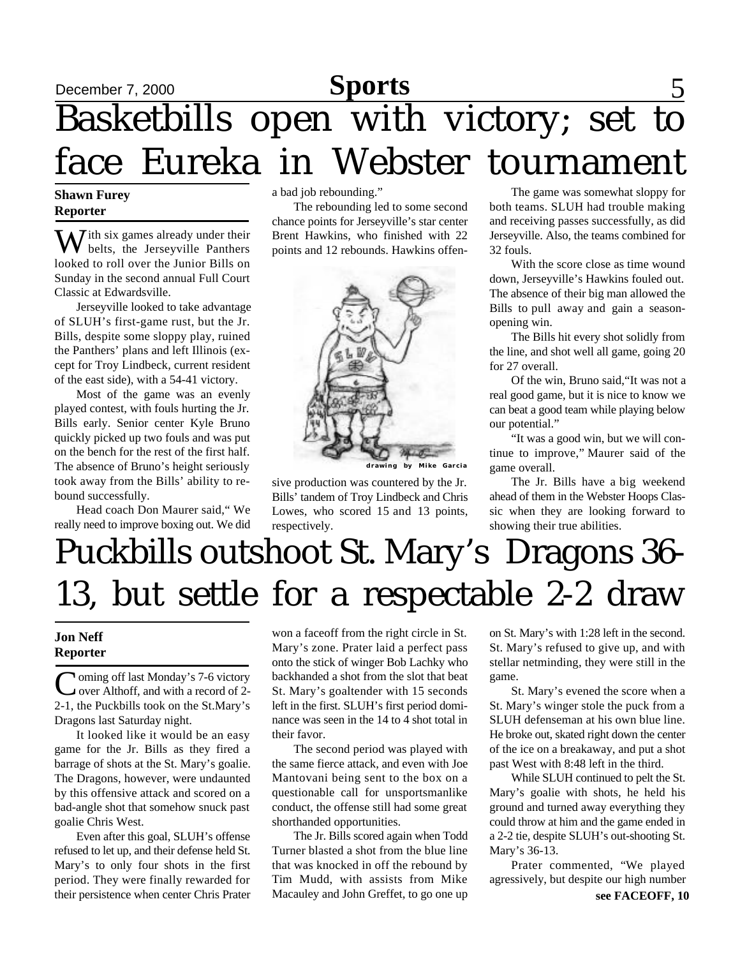## **Sports** December 7, 2000 **Sports** 5 Basketbills open with victory; set to face Eureka in Webster tournament

#### **Shawn Furey Reporter**

W ith six games already under their<br>belts, the Jerseyville Panthers looked to roll over the Junior Bills on Sunday in the second annual Full Court Classic at Edwardsville.

Jerseyville looked to take advantage of SLUH's first-game rust, but the Jr. Bills, despite some sloppy play, ruined the Panthers' plans and left Illinois (except for Troy Lindbeck, current resident of the east side), with a 54-41 victory.

Most of the game was an evenly played contest, with fouls hurting the Jr. Bills early. Senior center Kyle Bruno quickly picked up two fouls and was put on the bench for the rest of the first half. The absence of Bruno's height seriously took away from the Bills' ability to rebound successfully.

Head coach Don Maurer said," We really need to improve boxing out. We did a bad job rebounding."

The rebounding led to some second chance points for Jerseyville's star center Brent Hawkins, who finished with 22 points and 12 rebounds. Hawkins offen-



**drawing by Mike Garcia**

sive production was countered by the Jr. Bills' tandem of Troy Lindbeck and Chris Lowes, who scored 15 and 13 points, respectively.

The game was somewhat sloppy for both teams. SLUH had trouble making and receiving passes successfully, as did Jerseyville. Also, the teams combined for 32 fouls.

With the score close as time wound down, Jerseyville's Hawkins fouled out. The absence of their big man allowed the Bills to pull away and gain a seasonopening win.

The Bills hit every shot solidly from the line, and shot well all game, going 20 for 27 overall.

Of the win, Bruno said,"It was not a real good game, but it is nice to know we can beat a good team while playing below our potential."

"It was a good win, but we will continue to improve," Maurer said of the game overall.

The Jr. Bills have a big weekend ahead of them in the Webster Hoops Classic when they are looking forward to showing their true abilities.

# Puckbills outshoot St. Mary's Dragons 36- 13, but settle for a respectable 2-2 draw

#### **Jon Neff Reporter**

Coming off last Monday's 7-6 victory<br>
over Althoff, and with a record of 2-**T**oming off last Monday's 7-6 victory 2-1, the Puckbills took on the St.Mary's Dragons last Saturday night.

It looked like it would be an easy game for the Jr. Bills as they fired a barrage of shots at the St. Mary's goalie. The Dragons, however, were undaunted by this offensive attack and scored on a bad-angle shot that somehow snuck past goalie Chris West.

Even after this goal, SLUH's offense refused to let up, and their defense held St. Mary's to only four shots in the first period. They were finally rewarded for their persistence when center Chris Prater won a faceoff from the right circle in St. Mary's zone. Prater laid a perfect pass onto the stick of winger Bob Lachky who backhanded a shot from the slot that beat St. Mary's goaltender with 15 seconds left in the first. SLUH's first period dominance was seen in the 14 to 4 shot total in their favor.

The second period was played with the same fierce attack, and even with Joe Mantovani being sent to the box on a questionable call for unsportsmanlike conduct, the offense still had some great shorthanded opportunities.

The Jr. Bills scored again when Todd Turner blasted a shot from the blue line that was knocked in off the rebound by Tim Mudd, with assists from Mike Macauley and John Greffet, to go one up

on St. Mary's with 1:28 left in the second. St. Mary's refused to give up, and with stellar netminding, they were still in the game.

St. Mary's evened the score when a St. Mary's winger stole the puck from a SLUH defenseman at his own blue line. He broke out, skated right down the center of the ice on a breakaway, and put a shot past West with 8:48 left in the third.

While SLUH continued to pelt the St. Mary's goalie with shots, he held his ground and turned away everything they could throw at him and the game ended in a 2-2 tie, despite SLUH's out-shooting St. Mary's 36-13.

Prater commented, "We played agressively, but despite our high number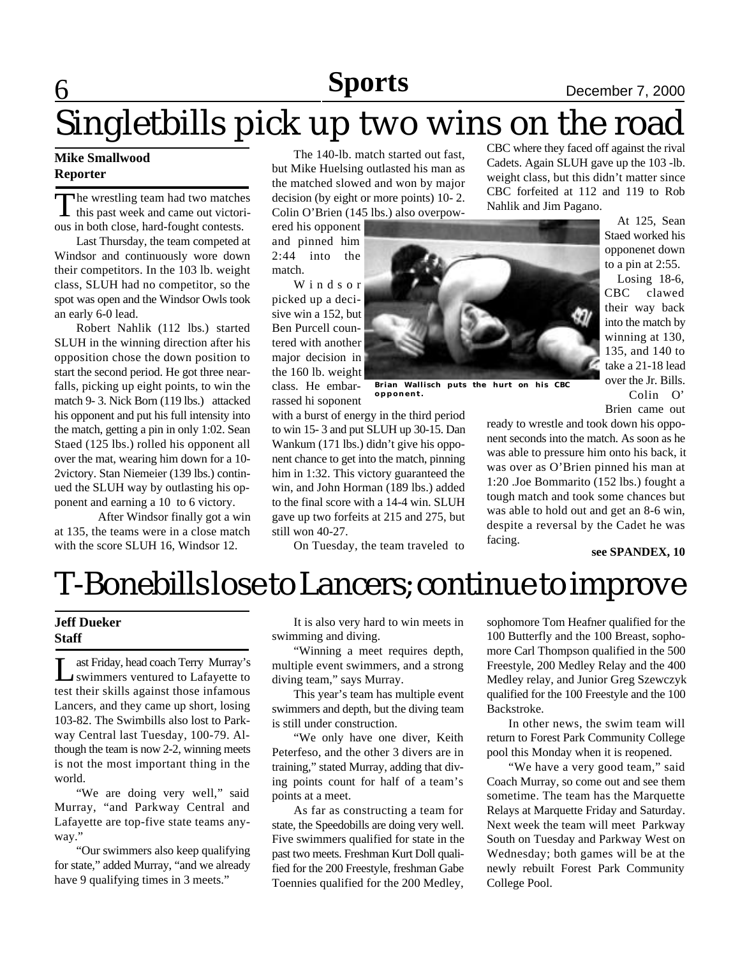## **6** December 7, 2000

### CBC where they faced off against the rival Singletbills pick up two wins on the road

### **Mike Smallwood Reporter**

The wrestling team had two matches<br>this past week and came out victorihe wrestling team had two matches ous in both close, hard-fought contests.

Last Thursday, the team competed at Windsor and continuously wore down their competitors. In the 103 lb. weight class, SLUH had no competitor, so the spot was open and the Windsor Owls took an early 6-0 lead.

Robert Nahlik (112 lbs.) started SLUH in the winning direction after his opposition chose the down position to start the second period. He got three nearfalls, picking up eight points, to win the match 9- 3. Nick Born (119 lbs.) attacked his opponent and put his full intensity into the match, getting a pin in only 1:02. Sean Staed (125 lbs.) rolled his opponent all over the mat, wearing him down for a 10- 2victory. Stan Niemeier (139 lbs.) continued the SLUH way by outlasting his opponent and earning a 10 to 6 victory.

After Windsor finally got a win at 135, the teams were in a close match with the score SLUH 16, Windsor 12.

The 140-lb. match started out fast, but Mike Huelsing outlasted his man as the matched slowed and won by major decision (by eight or more points) 10- 2. Colin O'Brien (145 lbs.) also overpow-

ered his opponent and pinned him 2:44 into the match.

W i n d s o r picked up a decisive win a 152, but Ben Purcell countered with another major decision in the 160 lb. weight class. He embar-

rassed hi soponent

still won 40-27.



**Brian Wallisch puts the hurt on his CBC opponent.**

Cadets. Again SLUH gave up the 103 -lb. weight class, but this didn't matter since CBC forfeited at 112 and 119 to Rob Nahlik and Jim Pagano. At 125, Sean

Staed worked his opponenet down to a pin at 2:55.

Losing 18-6, CBC clawed their way back into the match by winning at 130, 135, and 140 to take a 21-18 lead over the Jr. Bills. Colin O'

Brien came out

ready to wrestle and took down his opponent seconds into the match. As soon as he was able to pressure him onto his back, it was over as O'Brien pinned his man at 1:20 .Joe Bommarito (152 lbs.) fought a tough match and took some chances but was able to hold out and get an 8-6 win, despite a reversal by the Cadet he was facing.

#### **see SPANDEX, 10**

## T-Bonebills lose to Lancers; continue to improve

On Tuesday, the team traveled to

with a burst of energy in the third period to win 15- 3 and put SLUH up 30-15. Dan Wankum (171 lbs.) didn't give his opponent chance to get into the match, pinning him in 1:32. This victory guaranteed the win, and John Horman (189 lbs.) added to the final score with a 14-4 win. SLUH gave up two forfeits at 215 and 275, but

#### **Jeff Dueker Staff**

L ast Friday, head coach Terry Murray's swimmers ventured to Lafayette to test their skills against those infamous Lancers, and they came up short, losing 103-82. The Swimbills also lost to Parkway Central last Tuesday, 100-79. Although the team is now 2-2, winning meets is not the most important thing in the world.

"We are doing very well," said Murray, "and Parkway Central and Lafayette are top-five state teams anyway."

"Our swimmers also keep qualifying for state," added Murray, "and we already have 9 qualifying times in 3 meets."

It is also very hard to win meets in swimming and diving.

"Winning a meet requires depth, multiple event swimmers, and a strong diving team," says Murray.

This year's team has multiple event swimmers and depth, but the diving team is still under construction.

"We only have one diver, Keith Peterfeso, and the other 3 divers are in training," stated Murray, adding that diving points count for half of a team's points at a meet.

As far as constructing a team for state, the Speedobills are doing very well. Five swimmers qualified for state in the past two meets. Freshman Kurt Doll qualified for the 200 Freestyle, freshman Gabe Toennies qualified for the 200 Medley, sophomore Tom Heafner qualified for the 100 Butterfly and the 100 Breast, sophomore Carl Thompson qualified in the 500 Freestyle, 200 Medley Relay and the 400 Medley relay, and Junior Greg Szewczyk qualified for the 100 Freestyle and the 100 Backstroke.

In other news, the swim team will return to Forest Park Community College pool this Monday when it is reopened.

"We have a very good team," said Coach Murray, so come out and see them sometime. The team has the Marquette Relays at Marquette Friday and Saturday. Next week the team will meet Parkway South on Tuesday and Parkway West on Wednesday; both games will be at the newly rebuilt Forest Park Community College Pool.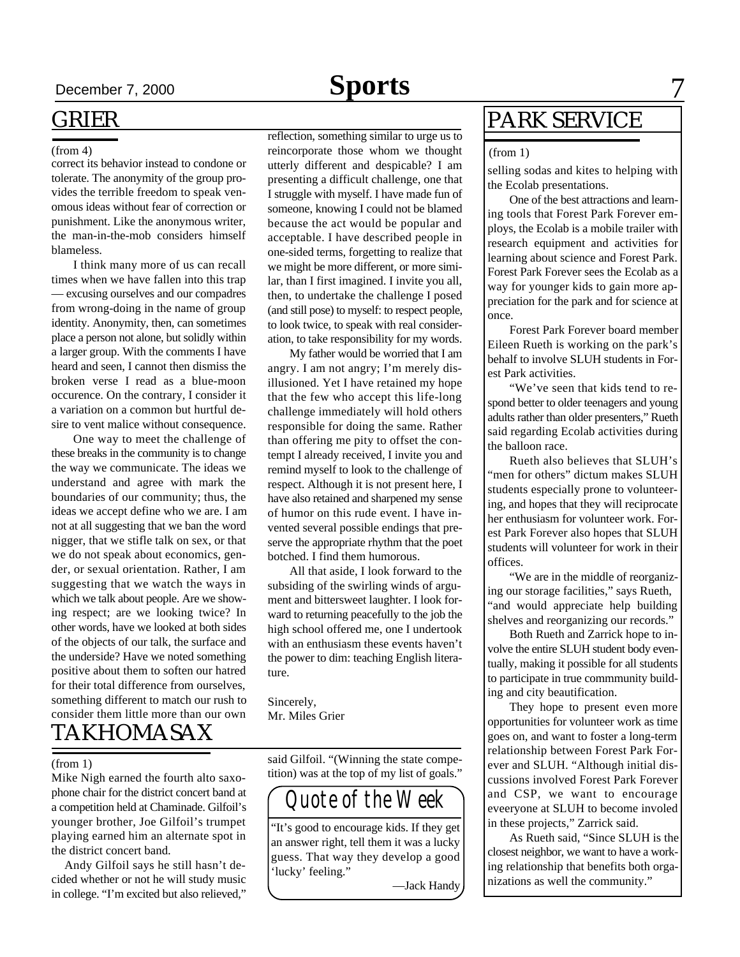#### (from 4)

correct its behavior instead to condone or tolerate. The anonymity of the group provides the terrible freedom to speak venomous ideas without fear of correction or punishment. Like the anonymous writer, the man-in-the-mob considers himself blameless.

I think many more of us can recall times when we have fallen into this trap — excusing ourselves and our compadres from wrong-doing in the name of group identity. Anonymity, then, can sometimes place a person not alone, but solidly within a larger group. With the comments I have heard and seen, I cannot then dismiss the broken verse I read as a blue-moon occurence. On the contrary, I consider it a variation on a common but hurtful desire to vent malice without consequence.

TAKHOMASAX One way to meet the challenge of these breaks in the community is to change the way we communicate. The ideas we understand and agree with mark the boundaries of our community; thus, the ideas we accept define who we are. I am not at all suggesting that we ban the word nigger, that we stifle talk on sex, or that we do not speak about economics, gender, or sexual orientation. Rather, I am suggesting that we watch the ways in which we talk about people. Are we showing respect; are we looking twice? In other words, have we looked at both sides of the objects of our talk, the surface and the underside? Have we noted something positive about them to soften our hatred for their total difference from ourselves, something different to match our rush to consider them little more than our own

#### (from 1)

Mike Nigh earned the fourth alto saxophone chair for the district concert band at a competition held at Chaminade. Gilfoil's younger brother, Joe Gilfoil's trumpet playing earned him an alternate spot in the district concert band.

 Andy Gilfoil says he still hasn't decided whether or not he will study music in college. "I'm excited but also relieved," reflection, something similar to urge us to reincorporate those whom we thought utterly different and despicable? I am presenting a difficult challenge, one that I struggle with myself. I have made fun of someone, knowing I could not be blamed because the act would be popular and acceptable. I have described people in one-sided terms, forgetting to realize that we might be more different, or more similar, than I first imagined. I invite you all, then, to undertake the challenge I posed (and still pose) to myself: to respect people, to look twice, to speak with real consideration, to take responsibility for my words.

My father would be worried that I am angry. I am not angry; I'm merely disillusioned. Yet I have retained my hope that the few who accept this life-long challenge immediately will hold others responsible for doing the same. Rather than offering me pity to offset the contempt I already received, I invite you and remind myself to look to the challenge of respect. Although it is not present here, I have also retained and sharpened my sense of humor on this rude event. I have invented several possible endings that preserve the appropriate rhythm that the poet botched. I find them humorous.

All that aside, I look forward to the subsiding of the swirling winds of argument and bittersweet laughter. I look forward to returning peacefully to the job the high school offered me, one I undertook with an enthusiasm these events haven't the power to dim: teaching English literature.

Sincerely, Mr. Miles Grier

said Gilfoil. "(Winning the state competition) was at the top of my list of goals."



"It's good to encourage kids. If they get an answer right, tell them it was a lucky guess. That way they develop a good 'lucky' feeling."

—Jack Handy

### PARK SERVICE

#### (from 1)

selling sodas and kites to helping with the Ecolab presentations.

One of the best attractions and learning tools that Forest Park Forever employs, the Ecolab is a mobile trailer with research equipment and activities for learning about science and Forest Park. Forest Park Forever sees the Ecolab as a way for younger kids to gain more appreciation for the park and for science at once.

Forest Park Forever board member Eileen Rueth is working on the park's behalf to involve SLUH students in Forest Park activities.

"We've seen that kids tend to respond better to older teenagers and young adults rather than older presenters," Rueth said regarding Ecolab activities during the balloon race.

Rueth also believes that SLUH's "men for others" dictum makes SLUH students especially prone to volunteering, and hopes that they will reciprocate her enthusiasm for volunteer work. Forest Park Forever also hopes that SLUH students will volunteer for work in their offices.

"We are in the middle of reorganizing our storage facilities," says Rueth, "and would appreciate help building shelves and reorganizing our records."

Both Rueth and Zarrick hope to involve the entire SLUH student body eventually, making it possible for all students to participate in true commmunity building and city beautification.

They hope to present even more opportunities for volunteer work as time goes on, and want to foster a long-term relationship between Forest Park Forever and SLUH. "Although initial discussions involved Forest Park Forever and CSP, we want to encourage eveeryone at SLUH to become involed in these projects," Zarrick said.

As Rueth said, "Since SLUH is the closest neighbor, we want to have a working relationship that benefits both organizations as well the community."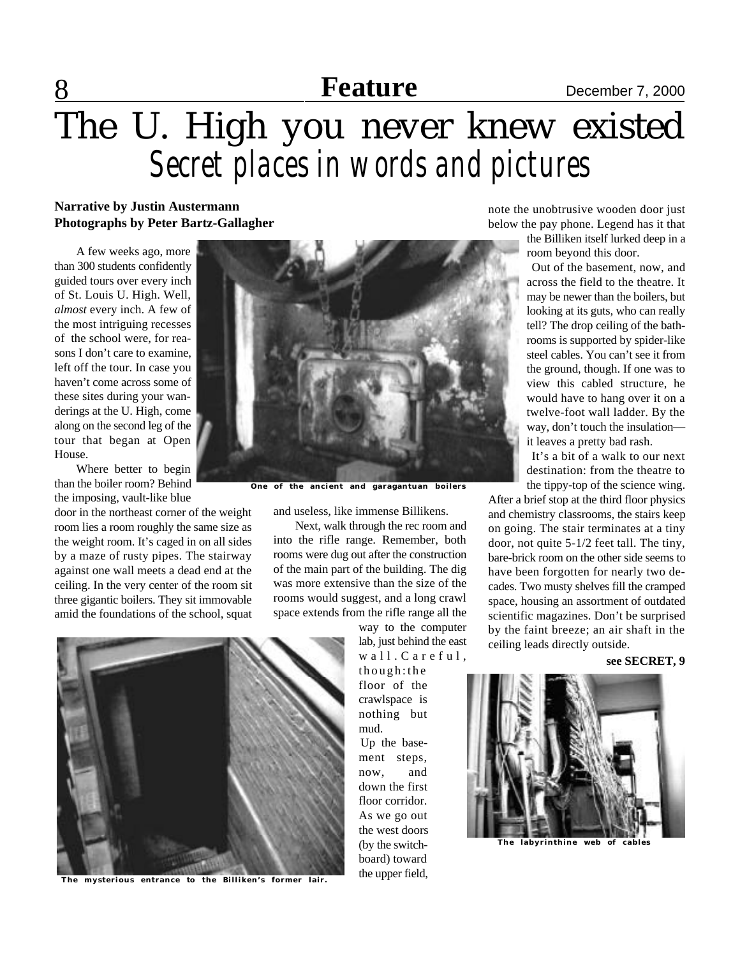## 8 **Feature Space Example 2000 Feature Space December 7, 2000**

# The U. High you never knew existed *Secret places in words and pictures*

#### **Narrative by Justin Austermann Photographs by Peter Bartz-Gallagher**

A few weeks ago, more than 300 students confidently guided tours over every inch of St. Louis U. High. Well, *almost* every inch. A few of the most intriguing recesses of the school were, for reasons I don't care to examine, left off the tour. In case you haven't come across some of these sites during your wanderings at the U. High, come along on the second leg of the tour that began at Open House.

Where better to begin than the boiler room? Behind the imposing, vault-like blue

door in the northeast corner of the weight room lies a room roughly the same size as the weight room. It's caged in on all sides by a maze of rusty pipes. The stairway against one wall meets a dead end at the ceiling. In the very center of the room sit three gigantic boilers. They sit immovable amid the foundations of the school, squat



**The mysterious entrance to the Billiken's former lair.**



**One of the ancient and garagantuan boilers**

and useless, like immense Billikens.

Next, walk through the rec room and into the rifle range. Remember, both rooms were dug out after the construction of the main part of the building. The dig was more extensive than the size of the rooms would suggest, and a long crawl space extends from the rifle range all the

> way to the computer lab, just behind the east  $w$  a  $11$ . C a r e f u  $1$ , though:the

floor of the crawlspace is nothing but mud.

Up the basement steps, now, and down the first floor corridor. As we go out the west doors (by the switchboard) toward the upper field, note the unobtrusive wooden door just below the pay phone. Legend has it that the Billiken itself lurked deep in a room beyond this door.

Out of the basement, now, and across the field to the theatre. It may be newer than the boilers, but looking at its guts, who can really tell? The drop ceiling of the bathrooms is supported by spider-like steel cables. You can't see it from the ground, though. If one was to view this cabled structure, he would have to hang over it on a twelve-foot wall ladder. By the way, don't touch the insulation it leaves a pretty bad rash.

It's a bit of a walk to our next destination: from the theatre to the tippy-top of the science wing.

After a brief stop at the third floor physics and chemistry classrooms, the stairs keep on going. The stair terminates at a tiny door, not quite 5-1/2 feet tall. The tiny, bare-brick room on the other side seems to have been forgotten for nearly two decades. Two musty shelves fill the cramped space, housing an assortment of outdated scientific magazines. Don't be surprised by the faint breeze; an air shaft in the ceiling leads directly outside.

**see SECRET, 9**



**The labyrinthine web of cables**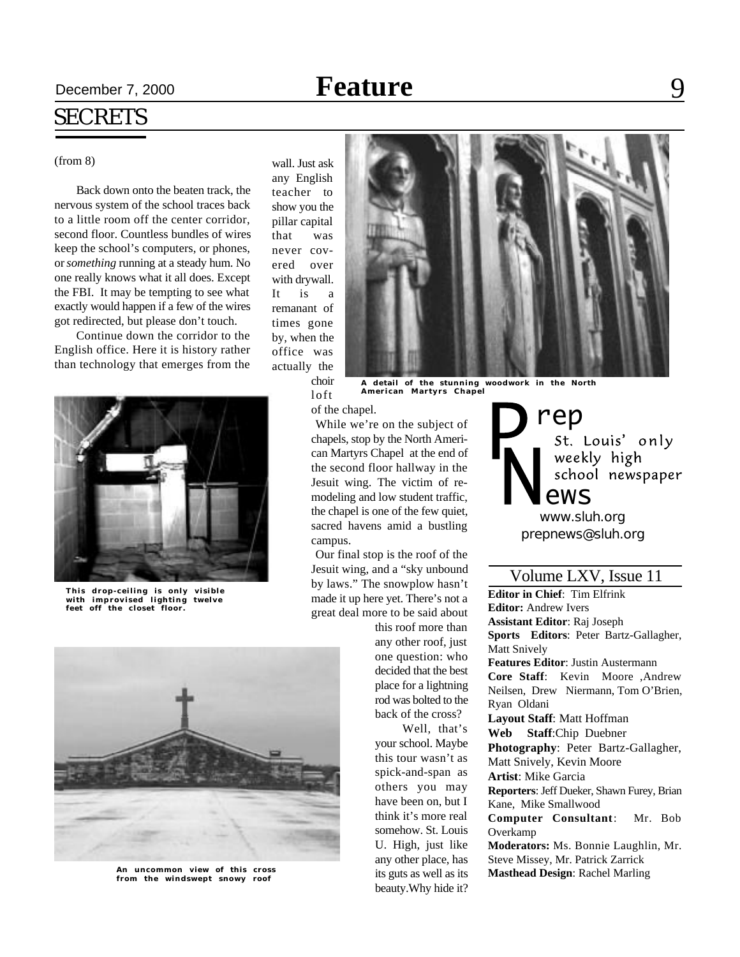### **Secember 7, 2000 Reature** Blood Blood Blood Blood Blood Blood Blood Blood Blood Blood Blood Blood Blood Blood B **Feature**

## SECRETS

#### (from 8)

Back down onto the beaten track, the nervous system of the school traces back to a little room off the center corridor, second floor. Countless bundles of wires keep the school's computers, or phones, or *something* running at a steady hum. No one really knows what it all does. Except the FBI. It may be tempting to see what exactly would happen if a few of the wires got redirected, but please don't touch.

Continue down the corridor to the English office. Here it is history rather than technology that emerges from the



**This drop-ceiling is only visible with improvised lighting twelve feet off the closet floor.**



**An uncommon view of this cross from the windswept snowy roof**

wall. Just ask any English teacher to show you the pillar capital that was never covered over with drywall. It is a remanant of times gone by, when the office was actually the choir



**A detail of the stunning woodwork in the North American Martyrs Chapel**

of the chapel.

loft

While we're on the subject of chapels, stop by the North American Martyrs Chapel at the end of the second floor hallway in the Jesuit wing. The victim of remodeling and low student traffic, the chapel is one of the few quiet, sacred havens amid a bustling campus.

Our final stop is the roof of the Jesuit wing, and a "sky unbound by laws." The snowplow hasn't made it up here yet. There's not a great deal more to be said about

> this roof more than any other roof, just one question: who decided that the best place for a lightning rod was bolted to the back of the cross?

Well, that's your school. Maybe this tour wasn't as spick-and-span as others you may have been on, but I think it's more real somehow. St. Louis U. High, just like any other place, has its guts as well as its beauty.Why hide it?

rep<br>st. Louis' only weekly high school newspaper ews

*prepnews@sluh.org www.sluh.org*

### Volume LXV, Issue 11

**Editor in Chief**: Tim Elfrink **Editor:** Andrew Ivers **Assistant Editor**: Raj Joseph **Sports Editors**: Peter Bartz-Gallagher, Matt Snively **Features Editor**: Justin Austermann **Core Staff**: Kevin Moore ,Andrew Neilsen, Drew Niermann, Tom O'Brien, Ryan Oldani **Layout Staff**: Matt Hoffman **Web Staff**:Chip Duebner **Photography**: Peter Bartz-Gallagher, Matt Snively, Kevin Moore **Artist**: Mike Garcia **Reporters**: Jeff Dueker, Shawn Furey, Brian Kane, Mike Smallwood **Computer Consultant**: Mr. Bob Overkamp **Moderators:** Ms. Bonnie Laughlin, Mr. Steve Missey, Mr. Patrick Zarrick

**Masthead Design**: Rachel Marling